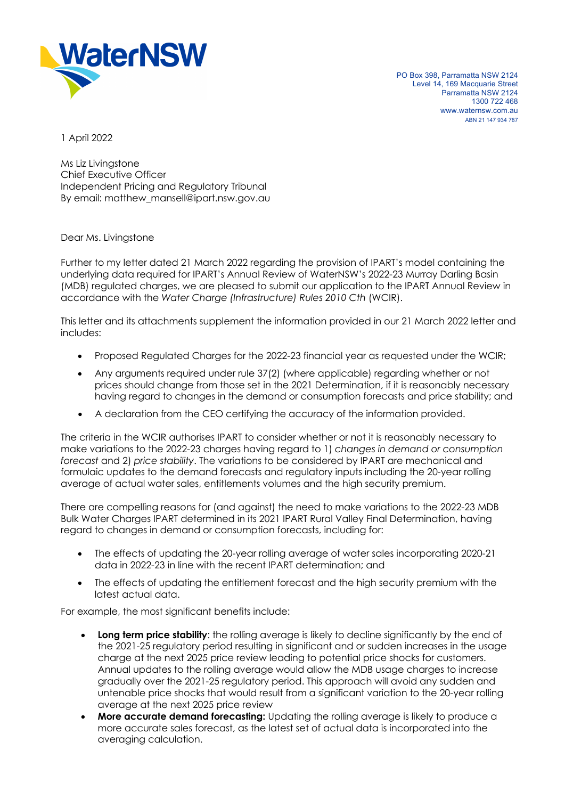

PO Box 398, Parramatta NSW 2124 Level 14, 169 Macquarie Street Parramatta NSW 2124 1300 722 468 www.waternsw.com.au ABN 21 147 934 787

1 April 2022

Ms Liz Livingstone Chief Executive Officer Independent Pricing and Regulatory Tribunal By email: matthew\_mansell@ipart.nsw.gov.au

Dear Ms. Livingstone

Further to my letter dated 21 March 2022 regarding the provision of IPART's model containing the underlying data required for IPART's Annual Review of WaterNSW's 2022-23 Murray Darling Basin (MDB) regulated charges, we are pleased to submit our application to the IPART Annual Review in accordance with the *Water Charge (Infrastructure) Rules 2010 Cth* (WCIR).

This letter and its attachments supplement the information provided in our 21 March 2022 letter and includes:

- Proposed Regulated Charges for the 2022-23 financial year as requested under the WCIR;
- Any arguments required under rule 37(2) (where applicable) regarding whether or not prices should change from those set in the 2021 Determination, if it is reasonably necessary having regard to changes in the demand or consumption forecasts and price stability; and
- A declaration from the CEO certifying the accuracy of the information provided.

The criteria in the WCIR authorises IPART to consider whether or not it is reasonably necessary to make variations to the 2022-23 charges having regard to 1) *changes in demand or consumption forecast* and 2) *price stability*. The variations to be considered by IPART are mechanical and formulaic updates to the demand forecasts and regulatory inputs including the 20-year rolling average of actual water sales, entitlements volumes and the high security premium.

There are compelling reasons for (and against) the need to make variations to the 2022-23 MDB Bulk Water Charges IPART determined in its 2021 IPART Rural Valley Final Determination, having regard to changes in demand or consumption forecasts, including for:

- The effects of updating the 20-year rolling average of water sales incorporating 2020-21 data in 2022-23 in line with the recent IPART determination; and
- The effects of updating the entitlement forecast and the high security premium with the latest actual data.

For example, the most significant benefits include:

- **Long term price stability**: the rolling average is likely to decline significantly by the end of the 2021-25 regulatory period resulting in significant and or sudden increases in the usage charge at the next 2025 price review leading to potential price shocks for customers. Annual updates to the rolling average would allow the MDB usage charges to increase gradually over the 2021-25 regulatory period. This approach will avoid any sudden and untenable price shocks that would result from a significant variation to the 20-year rolling average at the next 2025 price review
- **More accurate demand forecasting:** Updating the rolling average is likely to produce a more accurate sales forecast, as the latest set of actual data is incorporated into the averaging calculation.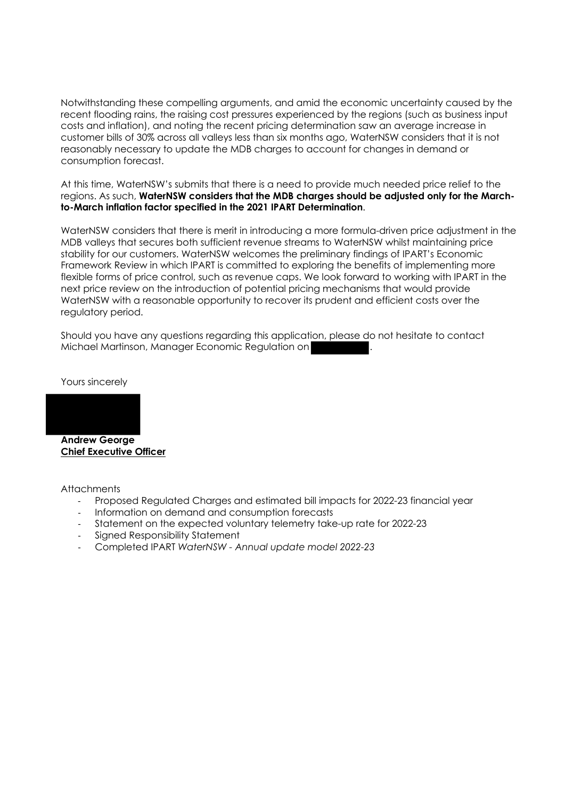Notwithstanding these compelling arguments, and amid the economic uncertainty caused by the recent flooding rains, the raising cost pressures experienced by the regions (such as business input costs and inflation), and noting the recent pricing determination saw an average increase in customer bills of 30% across all valleys less than six months ago, WaterNSW considers that it is not reasonably necessary to update the MDB charges to account for changes in demand or consumption forecast.

At this time, WaterNSW's submits that there is a need to provide much needed price relief to the regions. As such, **WaterNSW considers that the MDB charges should be adjusted only for the Marchto-March inflation factor specified in the 2021 IPART Determination**.

WaterNSW considers that there is merit in introducing a more formula-driven price adjustment in the MDB valleys that secures both sufficient revenue streams to WaterNSW whilst maintaining price stability for our customers. WaterNSW welcomes the preliminary findings of IPART's Economic Framework Review in which IPART is committed to exploring the benefits of implementing more flexible forms of price control, such as revenue caps. We look forward to working with IPART in the next price review on the introduction of potential pricing mechanisms that would provide WaterNSW with a reasonable opportunity to recover its prudent and efficient costs over the regulatory period.

Should you have any questions regarding this application, please do not hesitate to contact Michael Martinson, Manager Economic Regulation on

Yours sincerely



**Andrew George Chief Executive Officer**

**Attachments** 

- Proposed Regulated Charges and estimated bill impacts for 2022-23 financial year
- Information on demand and consumption forecasts
- Statement on the expected voluntary telemetry take-up rate for 2022-23
- Signed Responsibility Statement
- Completed IPART *WaterNSW Annual update model 2022-23*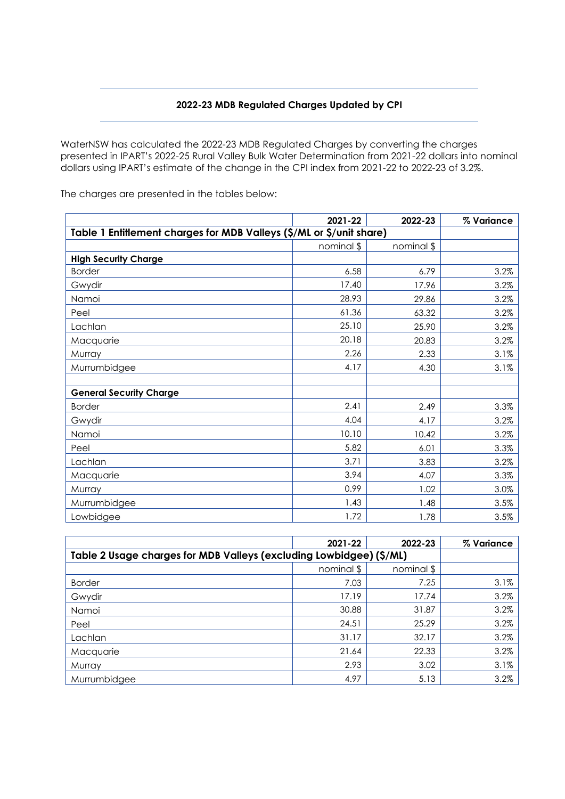## **2022-23 MDB Regulated Charges Updated by CPI**

WaterNSW has calculated the 2022-23 MDB Regulated Charges by converting the charges presented in IPART's 2022-25 Rural Valley Bulk Water Determination from 2021-22 dollars into nominal dollars using IPART's estimate of the change in the CPI index from 2021-22 to 2022-23 of 3.2%.

|                                                                      | 2021-22    | 2022-23    | % Variance |
|----------------------------------------------------------------------|------------|------------|------------|
| Table 1 Entitlement charges for MDB Valleys (\$/ML or \$/unit share) |            |            |            |
|                                                                      | nominal \$ | nominal \$ |            |
| <b>High Security Charge</b>                                          |            |            |            |
| <b>Border</b>                                                        | 6.58       | 6.79       | 3.2%       |
| Gwydir                                                               | 17.40      | 17.96      | 3.2%       |
| Namoi                                                                | 28.93      | 29.86      | 3.2%       |
| Peel                                                                 | 61.36      | 63.32      | 3.2%       |
| Lachlan                                                              | 25.10      | 25.90      | 3.2%       |
| Macquarie                                                            | 20.18      | 20.83      | 3.2%       |
| Murray                                                               | 2.26       | 2.33       | 3.1%       |
| Murrumbidgee                                                         | 4.17       | 4.30       | 3.1%       |
| <b>General Security Charge</b>                                       |            |            |            |
| <b>Border</b>                                                        | 2.41       | 2.49       | 3.3%       |
| Gwydir                                                               | 4.04       | 4.17       | 3.2%       |
| Namoi                                                                | 10.10      | 10.42      | 3.2%       |
| Peel                                                                 | 5.82       | 6.01       | 3.3%       |
| Lachlan                                                              | 3.71       | 3.83       | 3.2%       |
| Macquarie                                                            | 3.94       | 4.07       | 3.3%       |
| Murray                                                               | 0.99       | 1.02       | 3.0%       |
| Murrumbidgee                                                         | 1.43       | 1.48       | 3.5%       |
| Lowbidgee                                                            | 1.72       | 1.78       | 3.5%       |

The charges are presented in the tables below:

|                                                                     | 2021-22    | 2022-23    | % Variance |
|---------------------------------------------------------------------|------------|------------|------------|
| Table 2 Usage charges for MDB Valleys (excluding Lowbidgee) (\$/ML) |            |            |            |
|                                                                     | nominal \$ | nominal \$ |            |
| <b>Border</b>                                                       | 7.03       | 7.25       | 3.1%       |
| Gwydir                                                              | 17.19      | 17.74      | 3.2%       |
| Namoi                                                               | 30.88      | 31.87      | 3.2%       |
| Peel                                                                | 24.51      | 25.29      | 3.2%       |
| Lachlan                                                             | 31.17      | 32.17      | 3.2%       |
| Macquarie                                                           | 21.64      | 22.33      | 3.2%       |
| Murray                                                              | 2.93       | 3.02       | 3.1%       |
| Murrumbidgee                                                        | 4.97       | 5.13       | 3.2%       |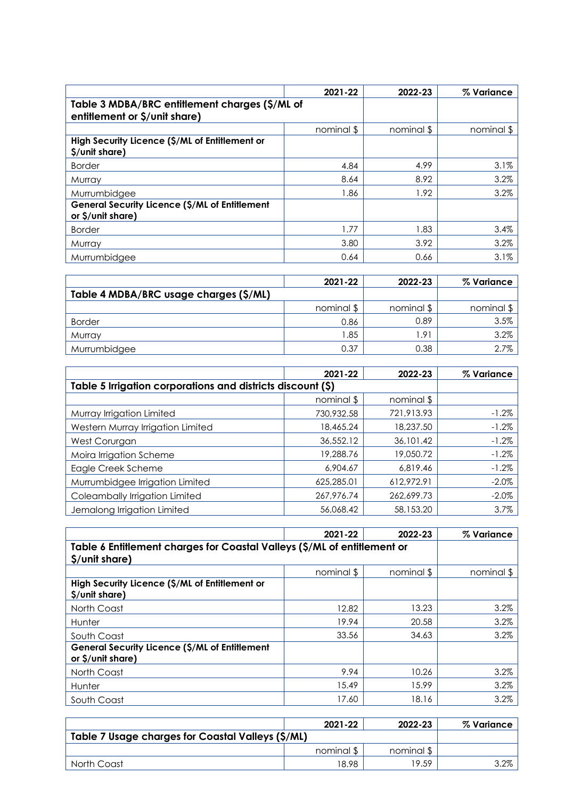|                                                                                 | 2021-22    | 2022-23    | % Variance |
|---------------------------------------------------------------------------------|------------|------------|------------|
| Table 3 MDBA/BRC entitlement charges (\$/ML of<br>entitlement or \$/unit share) |            |            |            |
|                                                                                 | nominal \$ | nominal \$ | nominal \$ |
| High Security Licence (\$/ML of Entitlement or<br>\$/unit share)                |            |            |            |
| <b>Border</b>                                                                   | 4.84       | 4.99       | 3.1%       |
| Murray                                                                          | 8.64       | 8.92       | 3.2%       |
| Murrumbidgee                                                                    | 1.86       | 1.92       | 3.2%       |
| General Security Licence (\$/ML of Entitlement<br>or $\frac{5}{unit}$ share)    |            |            |            |
| <b>Border</b>                                                                   | 1.77       | 1.83       | 3.4%       |
| Murray                                                                          | 3.80       | 3.92       | 3.2%       |
| Murrumbidgee                                                                    | 0.64       | 0.66       | 3.1%       |

|                                        | 2021-22    | 2022-23          | % Variance |
|----------------------------------------|------------|------------------|------------|
| Table 4 MDBA/BRC usage charges (\$/ML) |            |                  |            |
|                                        | nominal \$ | nominal \$       | nominal \$ |
| <b>Border</b>                          | 0.86       | 0.89             | 3.5%       |
| Murrav                                 | 1.85       | 1.9 <sup>1</sup> | 3.2%       |
| Murrumbidgee                           | 0.37       | 0.38             | $2.7\%$    |

|                                                             | 2021-22    | 2022-23    | % Variance |
|-------------------------------------------------------------|------------|------------|------------|
| Table 5 Irrigation corporations and districts discount (\$) |            |            |            |
|                                                             | nominal \$ | nominal \$ |            |
| Murray Irrigation Limited                                   | 730,932.58 | 721,913.93 | $-1.2%$    |
| Western Murray Irrigation Limited                           | 18,465.24  | 18,237.50  | $-1.2%$    |
| West Corurgan                                               | 36,552.12  | 36,101.42  | $-1.2%$    |
| Moira Irrigation Scheme                                     | 19,288.76  | 19.050.72  | $-1.2%$    |
| Eagle Creek Scheme                                          | 6,904.67   | 6,819.46   | $-1.2%$    |
| Murrumbidgee Irrigation Limited                             | 625,285.01 | 612,972.91 | $-2.0\%$   |
| Coleambally Irrigation Limited                              | 267.976.74 | 262,699.73 | $-2.0%$    |
| Jemalong Irrigation Limited                                 | 56,068.42  | 58,153.20  | 3.7%       |

|                                                                              | 2021-22    | 2022-23    | % Variance |
|------------------------------------------------------------------------------|------------|------------|------------|
| Table 6 Entitlement charges for Coastal Valleys (\$/ML of entitlement or     |            |            |            |
| \$/unit share)                                                               |            |            |            |
|                                                                              | nominal \$ | nominal \$ | nominal \$ |
| High Security Licence (\$/ML of Entitlement or<br>\$/unit share)             |            |            |            |
| North Coast                                                                  | 12.82      | 13.23      | 3.2%       |
| Hunter                                                                       | 19.94      | 20.58      | 3.2%       |
| South Coast                                                                  | 33.56      | 34.63      | 3.2%       |
| General Security Licence (\$/ML of Entitlement<br>or $\frac{5}{unit}$ share) |            |            |            |
| North Coast                                                                  | 9.94       | 10.26      | 3.2%       |
| Hunter                                                                       | 15.49      | 15.99      | 3.2%       |
| South Coast                                                                  | 17.60      | 18.16      | 3.2%       |

|                                                   | $2021 - 22$ | 2022-23    | $\%$ Variance |
|---------------------------------------------------|-------------|------------|---------------|
| Table 7 Usage charges for Coastal Valleys (\$/ML) |             |            |               |
|                                                   | nominal \$  | nominal \$ |               |
| North Coast                                       | 18.98       | 19.59      | $3.2\%$       |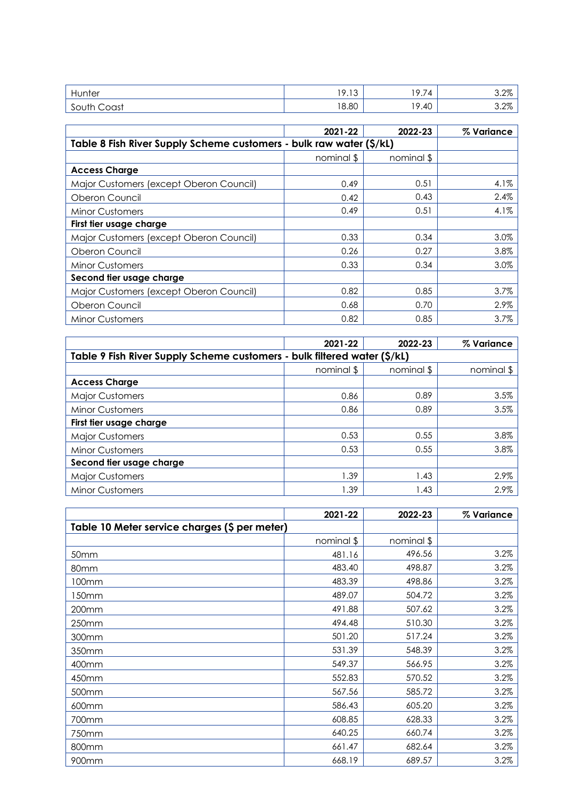| Hunter           | $\sqrt{2}$<br>ີ<br>7.10 | $\rightarrow$<br><b>Q</b><br>4<br>$\cdots$ | 3.2%    |
|------------------|-------------------------|--------------------------------------------|---------|
| South C<br>Coast | 18.80                   | .40<br>۱O                                  | $3.2\%$ |

|                                                                     | 2021-22    | 2022-23    | % Variance |
|---------------------------------------------------------------------|------------|------------|------------|
| Table 8 Fish River Supply Scheme customers - bulk raw water (\$/kL) |            |            |            |
|                                                                     | nominal \$ | nominal \$ |            |
| <b>Access Charge</b>                                                |            |            |            |
| Major Customers (except Oberon Council)                             | 0.49       | 0.51       | $4.1\%$    |
| Oberon Council                                                      | 0.42       | 0.43       | 2.4%       |
| <b>Minor Customers</b>                                              | 0.49       | 0.51       | 4.1%       |
| First tier usage charge                                             |            |            |            |
| Major Customers (except Oberon Council)                             | 0.33       | 0.34       | 3.0%       |
| Oberon Council                                                      | 0.26       | 0.27       | 3.8%       |
| <b>Minor Customers</b>                                              | 0.33       | 0.34       | 3.0%       |
| Second tier usage charge                                            |            |            |            |
| Major Customers (except Oberon Council)                             | 0.82       | 0.85       | 3.7%       |
| Oberon Council                                                      | 0.68       | 0.70       | 2.9%       |
| <b>Minor Customers</b>                                              | 0.82       | 0.85       | 3.7%       |

|                                                                          | 2021-22    | 2022-23    | % Variance |
|--------------------------------------------------------------------------|------------|------------|------------|
| Table 9 Fish River Supply Scheme customers - bulk filtered water (\$/kL) |            |            |            |
|                                                                          | nominal \$ | nominal \$ | nominal \$ |
| <b>Access Charge</b>                                                     |            |            |            |
| <b>Major Customers</b>                                                   | 0.86       | 0.89       | 3.5%       |
| <b>Minor Customers</b>                                                   | 0.86       | 0.89       | 3.5%       |
| First tier usage charge                                                  |            |            |            |
| <b>Major Customers</b>                                                   | 0.53       | 0.55       | 3.8%       |
| <b>Minor Customers</b>                                                   | 0.53       | 0.55       | 3.8%       |
| Second tier usage charge                                                 |            |            |            |
| <b>Major Customers</b>                                                   | 1.39       | 1.43       | 2.9%       |
| <b>Minor Customers</b>                                                   | 1.39       | 1.43       | 2.9%       |

|                                               | 2021-22    | 2022-23    | % Variance |
|-----------------------------------------------|------------|------------|------------|
| Table 10 Meter service charges (\$ per meter) |            |            |            |
|                                               | nominal \$ | nominal \$ |            |
| 50 <sub>mm</sub>                              | 481.16     | 496.56     | 3.2%       |
| 80mm                                          | 483.40     | 498.87     | 3.2%       |
| 100mm                                         | 483.39     | 498.86     | 3.2%       |
| I50mm                                         | 489.07     | 504.72     | 3.2%       |
| 200mm                                         | 491.88     | 507.62     | 3.2%       |
| 250mm                                         | 494.48     | 510.30     | 3.2%       |
| 300mm                                         | 501.20     | 517.24     | 3.2%       |
| 350mm                                         | 531.39     | 548.39     | 3.2%       |
| 400mm                                         | 549.37     | 566.95     | 3.2%       |
| 450mm                                         | 552.83     | 570.52     | 3.2%       |
| 500mm                                         | 567.56     | 585.72     | 3.2%       |
| 600mm                                         | 586.43     | 605.20     | 3.2%       |
| 700mm                                         | 608.85     | 628.33     | 3.2%       |
| 750mm                                         | 640.25     | 660.74     | 3.2%       |
| 800mm                                         | 661.47     | 682.64     | 3.2%       |
| 900mm                                         | 668.19     | 689.57     | 3.2%       |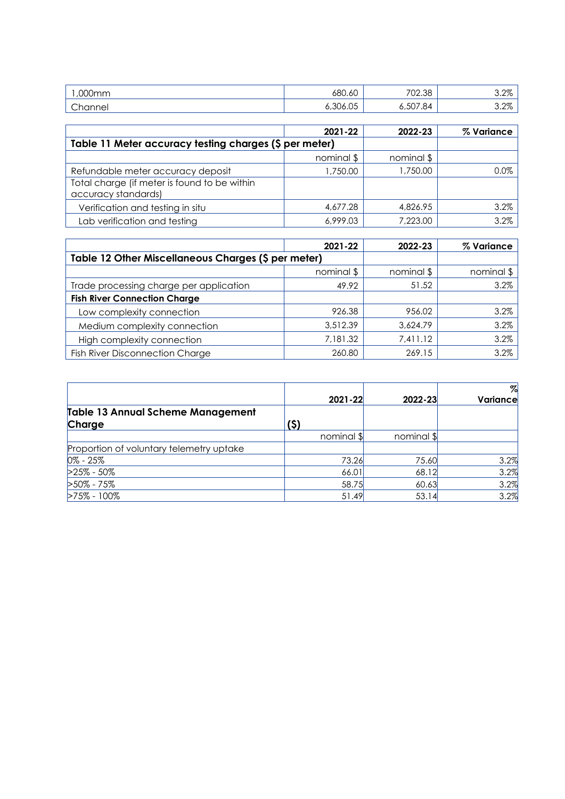| 000mm              | 680.60                       | 702.38                         | റ റത<br>0.270 |
|--------------------|------------------------------|--------------------------------|---------------|
| <sup>n</sup> nnnel | $\cap$<br>$\Omega$<br>ນບ6.ບວ | $-0$<br>$\sim$<br>84.<br>5,5U7 | . റത<br>0.270 |

|                                                                     | 2021-22    | 2022-23    | % Variance |
|---------------------------------------------------------------------|------------|------------|------------|
| Table 11 Meter accuracy testing charges (\$ per meter)              |            |            |            |
|                                                                     | nominal \$ | nominal \$ |            |
| Refundable meter accuracy deposit                                   | 1,750.00   | 1,750.00   | $0.0\%$    |
| Total charge (if meter is found to be within<br>accuracy standards) |            |            |            |
| Verification and testing in situ                                    | 4,677.28   | 4,826.95   | 3.2%       |
|                                                                     |            |            |            |
| Lab verification and testing                                        | 6,999.03   | 7,223.00   | 3.2%       |

|                                                     | 2021-22    | 2022-23    | % Variance |
|-----------------------------------------------------|------------|------------|------------|
| Table 12 Other Miscellaneous Charges (\$ per meter) |            |            |            |
|                                                     | nominal \$ | nominal \$ | nominal \$ |
| Trade processing charge per application             | 49.92      | 51.52      | 3.2%       |
| <b>Fish River Connection Charge</b>                 |            |            |            |
| Low complexity connection                           | 926.38     | 956.02     | 3.2%       |
| Medium complexity connection                        | 3,512.39   | 3,624.79   | 3.2%       |
| High complexity connection                          | 7,181.32   | 7,411.12   | 3.2%       |
| <b>Fish River Disconnection Charge</b>              | 260.80     | 269.15     | 3.2%       |

|                                          |      |             |            | $\%$     |
|------------------------------------------|------|-------------|------------|----------|
|                                          |      | $2021 - 22$ | 2022-23    | Variance |
| <b>Table 13 Annual Scheme Management</b> |      |             |            |          |
| Charge                                   | (\$) |             |            |          |
|                                          |      | nominal \$  | nominal \$ |          |
| Proportion of voluntary telemetry uptake |      |             |            |          |
| $0\% - 25\%$                             |      | 73.26       | 75.60      | 3.2%     |
| $>25\% - 50\%$                           |      | 66.01       | 68.12      | 3.2%     |
| $>50\% - 75\%$                           |      | 58.75       | 60.63      | 3.2%     |
| $>75\% - 100\%$                          |      | 51.49       | 53.14      | 3.2%     |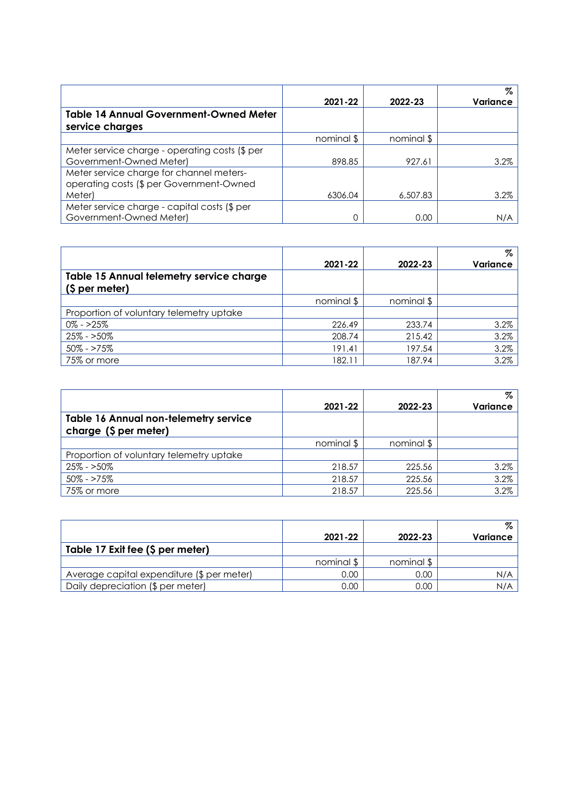|                                                |            |            | Z        |
|------------------------------------------------|------------|------------|----------|
|                                                | 2021-22    | 2022-23    | Variance |
| <b>Table 14 Annual Government-Owned Meter</b>  |            |            |          |
| service charges                                |            |            |          |
|                                                | nominal \$ | nominal \$ |          |
| Meter service charge - operating costs (\$ per |            |            |          |
| Government-Owned Meter)                        | 898.85     | 927.61     | 3.2%     |
| Meter service charge for channel meters-       |            |            |          |
| operating costs (\$ per Government-Owned       |            |            |          |
| Meter)                                         | 6306.04    | 6,507.83   | 3.2%     |
| Meter service charge - capital costs (\$ per   |            |            |          |
| Government-Owned Meter)                        | 0          | 0.00       | N/A      |

|                                          |            |            | %        |
|------------------------------------------|------------|------------|----------|
|                                          | 2021-22    | 2022-23    | Variance |
| Table 15 Annual telemetry service charge |            |            |          |
| (\$ per meter)                           |            |            |          |
|                                          | nominal \$ | nominal \$ |          |
| Proportion of voluntary telemetry uptake |            |            |          |
| $0\% - >25\%$                            | 226.49     | 233.74     | 3.2%     |
| $25\% - 50\%$                            | 208.74     | 215.42     | 3.2%     |
| $50\% - 275\%$                           | 191.41     | 197.54     | 3.2%     |
| 75% or more                              | 182.11     | 187.94     | 3.2%     |

|                                              |            |            | Z        |
|----------------------------------------------|------------|------------|----------|
|                                              | 2021-22    | 2022-23    | Variance |
| <b>Table 16 Annual non-telemetry service</b> |            |            |          |
| charge (\$ per meter)                        |            |            |          |
|                                              | nominal \$ | nominal \$ |          |
| Proportion of voluntary telemetry uptake     |            |            |          |
| $25\% - 50\%$                                | 218.57     | 225.56     | 3.2%     |
| 50% - >75%                                   | 218.57     | 225.56     | 3.2%     |
| 75% or more                                  | 218.57     | 225.56     | 3.2%     |

|                                            |            |            | Z.       |
|--------------------------------------------|------------|------------|----------|
|                                            | 2021-22    | 2022-23    | Variance |
| Table 17 Exit fee (\$ per meter)           |            |            |          |
|                                            | nominal \$ | nominal \$ |          |
| Average capital expenditure (\$ per meter) | 0.00       | 0.00       | N/A      |
| Daily depreciation (\$ per meter)          | 0.00       | 0.00       | N/A      |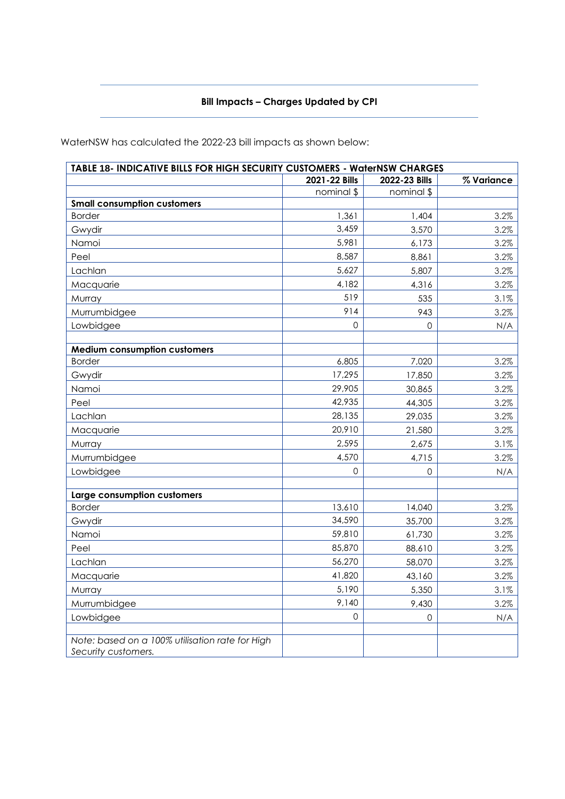### **Bill Impacts – Charges Updated by CPI**

**TABLE 18- INDICATIVE BILLS FOR HIGH SECURITY CUSTOMERS - WaterNSW CHARGES 2021-22 Bills 2022-23 Bills % Variance** nominal \$ nominal \$ **Small consumption customers** Border 1,361 1,404 3.2% Gwydir 3,459 3,570 3.2% Namoi 5,981 6,173 3.2% Peel 8,587 8,861 3.2% Lachlan 5,627 5,807 3.2% Macquarie 2.2% Murray 3.1% (1990) 3.1% (1991) 3.1% (1991) 3.1% (1991) 3.1% (1991) 3.1% (1991) 3.1% Murrumbidgee 3.2% Lowbidgee N/A **Medium consumption customers** Border 6,805 7,020 3.2% Gwydir 17,295 17,850 3.2% Namoi 29,905 30,865 3.2% Peel 42,935 44,305 3.2% Lachlan 28,135 29,035 3.2% Macquarie 20,910 20,910 21,580 3.2% Murray 2,675 2,675 2,675 3.1% Murrumbidgee 3.2% and 4,570 4,715 4.715 3.2% Lowbidgee N/A **Large consumption customers** Border 13,610 14,040 3.2% Gwydir 34,590 35,700 3.2% Namoi 59,810 61,730 3.2% Peel 85,870 88,610 3.2% Lachlan 56,270 58,070 3.2% Macquarie 2.2% Murray 5,190 5,350 3.1% Murrumbidgee 3.2% Lowbidgee N/A *Note: based on a 100% utilisation rate for High Security customers.*

WaterNSW has calculated the 2022-23 bill impacts as shown below: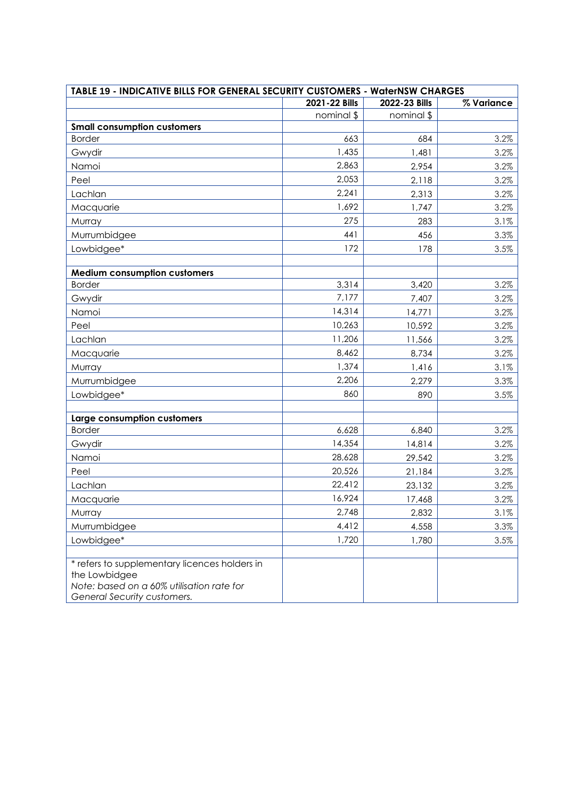| TABLE 19 - INDICATIVE BILLS FOR GENERAL SECURITY CUSTOMERS - WaterNSW CHARGES                                                              |               |               |            |
|--------------------------------------------------------------------------------------------------------------------------------------------|---------------|---------------|------------|
|                                                                                                                                            | 2021-22 Bills | 2022-23 Bills | % Variance |
|                                                                                                                                            | nominal \$    | nominal \$    |            |
| <b>Small consumption customers</b>                                                                                                         |               |               |            |
| <b>Border</b>                                                                                                                              | 663           | 684           | 3.2%       |
| Gwydir                                                                                                                                     | 1,435         | 1,481         | 3.2%       |
| Namoi                                                                                                                                      | 2,863         | 2,954         | 3.2%       |
| Peel                                                                                                                                       | 2,053         | 2,118         | 3.2%       |
| Lachlan                                                                                                                                    | 2,241         | 2,313         | 3.2%       |
| Macquarie                                                                                                                                  | 1,692         | 1,747         | 3.2%       |
| Murray                                                                                                                                     | 275           | 283           | 3.1%       |
| Murrumbidgee                                                                                                                               | 441           | 456           | 3.3%       |
| Lowbidgee*                                                                                                                                 | 172           | 178           | 3.5%       |
| <b>Medium consumption customers</b>                                                                                                        |               |               |            |
| <b>Border</b>                                                                                                                              | 3,314         | 3,420         | 3.2%       |
| Gwydir                                                                                                                                     | 7,177         | 7,407         | 3.2%       |
| Namoi                                                                                                                                      | 14,314        | 14,771        | 3.2%       |
| Peel                                                                                                                                       | 10,263        | 10,592        | 3.2%       |
| Lachlan                                                                                                                                    | 11,206        | 11,566        | 3.2%       |
| Macquarie                                                                                                                                  | 8,462         | 8,734         | 3.2%       |
| Murray                                                                                                                                     | 1,374         | 1,416         | 3.1%       |
| Murrumbidgee                                                                                                                               | 2,206         | 2,279         | 3.3%       |
| Lowbidgee*                                                                                                                                 | 860           | 890           | 3.5%       |
|                                                                                                                                            |               |               |            |
| Large consumption customers                                                                                                                |               |               |            |
| <b>Border</b>                                                                                                                              | 6,628         | 6,840         | 3.2%       |
| Gwydir                                                                                                                                     | 14,354        | 14,814        | 3.2%       |
| Namoi                                                                                                                                      | 28,628        | 29,542        | 3.2%       |
| Peel                                                                                                                                       | 20,526        | 21,184        | 3.2%       |
| Lachlan                                                                                                                                    | 22,412        | 23,132        | 3.2%       |
| Macquarie                                                                                                                                  | 16,924        | 17,468        | 3.2%       |
| Murray                                                                                                                                     | 2,748         | 2,832         | 3.1%       |
| Murrumbidgee                                                                                                                               | 4,412         | 4,558         | 3.3%       |
| Lowbidgee*                                                                                                                                 | 1,720         | 1,780         | 3.5%       |
| * refers to supplementary licences holders in<br>the Lowbidgee<br>Note: based on a 60% utilisation rate for<br>General Security customers. |               |               |            |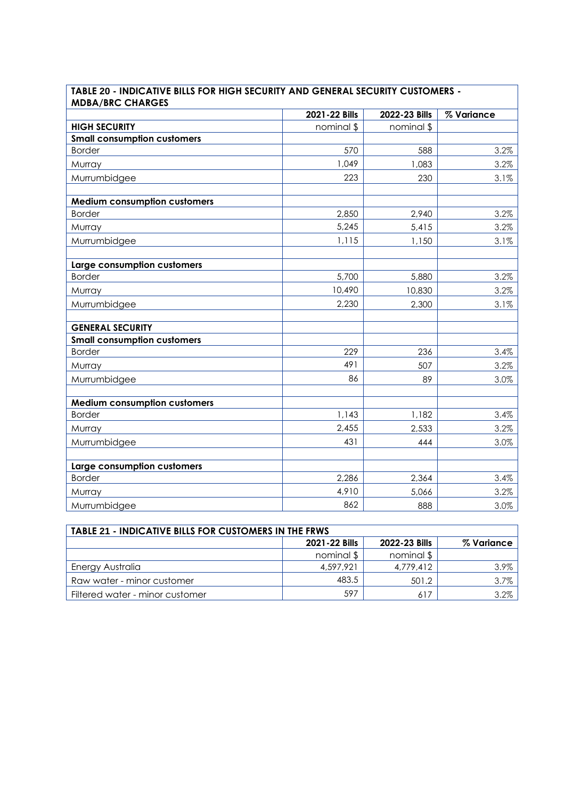| <b>MDBA/BRC CHARGES</b>             |               |               |            |
|-------------------------------------|---------------|---------------|------------|
|                                     | 2021-22 Bills | 2022-23 Bills | % Variance |
| <b>HIGH SECURITY</b>                | nominal \$    | nominal \$    |            |
| <b>Small consumption customers</b>  |               |               |            |
| <b>Border</b>                       | 570           | 588           | 3.2%       |
| Murray                              | 1,049         | 1,083         | 3.2%       |
| Murrumbidgee                        | 223           | 230           | 3.1%       |
| <b>Medium consumption customers</b> |               |               |            |
| <b>Border</b>                       | 2,850         | 2,940         | 3.2%       |
| Murray                              | 5,245         | 5,415         | 3.2%       |
| Murrumbidgee                        | 1,115         | 1,150         | 3.1%       |
| Large consumption customers         |               |               |            |
| <b>Border</b>                       | 5,700         | 5,880         | 3.2%       |
| Murray                              | 10,490        | 10,830        | 3.2%       |
| Murrumbidgee                        | 2,230         | 2,300         | 3.1%       |
| <b>GENERAL SECURITY</b>             |               |               |            |
| <b>Small consumption customers</b>  |               |               |            |
| <b>Border</b>                       | 229           | 236           | 3.4%       |
| Murray                              | 491           | 507           | 3.2%       |
| Murrumbidgee                        | 86            | 89            | 3.0%       |
| <b>Medium consumption customers</b> |               |               |            |
| <b>Border</b>                       | 1,143         | 1,182         | 3.4%       |
| Murray                              | 2,455         | 2,533         | 3.2%       |
| Murrumbidgee                        | 431           | 444           | 3.0%       |
| Large consumption customers         |               |               |            |
| <b>Border</b>                       | 2,286         | 2,364         | 3.4%       |
| Murray                              | 4,910         | 5,066         | 3.2%       |
| Murrumbidgee                        | 862           | 888           | 3.0%       |

# **TABLE 20 - INDICATIVE BILLS FOR HIGH SECURITY AND GENERAL SECURITY CUSTOMERS - MDBA/BRC CHARGES**

| <b>TABLE 21 - INDICATIVE BILLS FOR CUSTOMERS IN THE FRWS</b> |               |               |            |
|--------------------------------------------------------------|---------------|---------------|------------|
|                                                              | 2021-22 Bills | 2022-23 Bills | % Variance |
|                                                              | nominal \$    | nominal \$    |            |
| Energy Australia                                             | 4,597,921     | 4.779.412     | 3.9%       |
| Raw water - minor customer                                   | 483.5         | 501.2         | 3.7%       |
| Filtered water - minor customer                              | 597           | 617           | 3.2%       |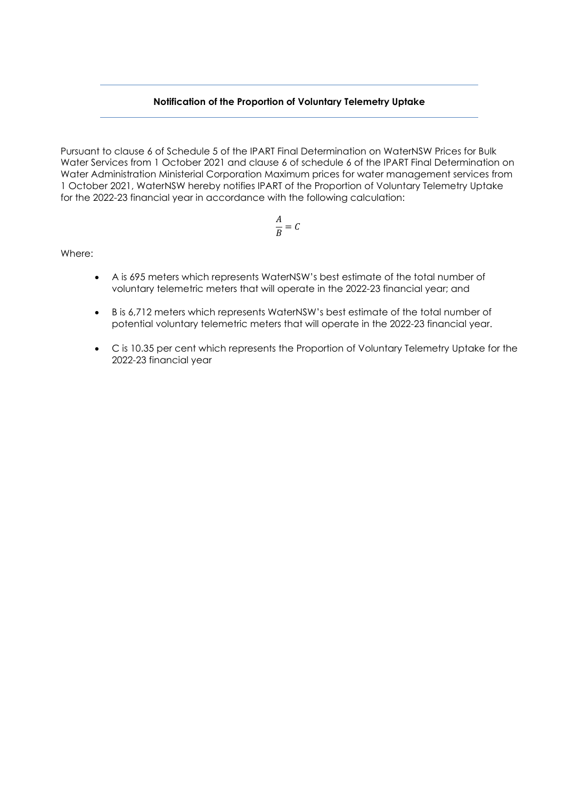### **Notification of the Proportion of Voluntary Telemetry Uptake**

Pursuant to clause 6 of Schedule 5 of the IPART Final Determination on WaterNSW Prices for Bulk Water Services from 1 October 2021 and clause 6 of schedule 6 of the IPART Final Determination on Water Administration Ministerial Corporation Maximum prices for water management services from 1 October 2021, WaterNSW hereby notifies IPART of the Proportion of Voluntary Telemetry Uptake for the 2022-23 financial year in accordance with the following calculation:

$$
\frac{A}{B} = C
$$

Where:

- A is 695 meters which represents WaterNSW's best estimate of the total number of voluntary telemetric meters that will operate in the 2022-23 financial year; and
- B is 6,712 meters which represents WaterNSW's best estimate of the total number of potential voluntary telemetric meters that will operate in the 2022-23 financial year.
- C is 10.35 per cent which represents the Proportion of Voluntary Telemetry Uptake for the 2022-23 financial year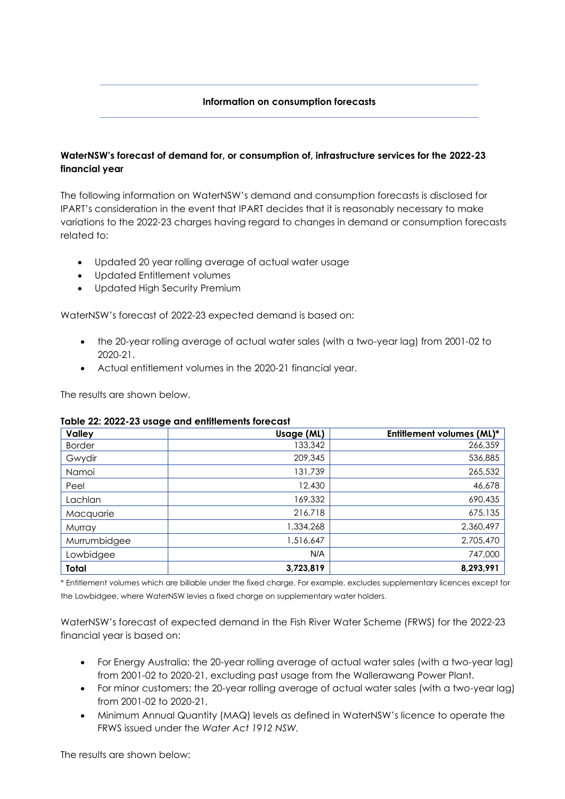### **Information on consumption forecasts**

## **WaterNSW's forecast of demand for, or consumption of, infrastructure services for the 2022-23 financial year**

The following information on WaterNSW's demand and consumption forecasts is disclosed for IPART's consideration in the event that IPART decides that it is reasonably necessary to make variations to the 2022-23 charges having regard to changes in demand or consumption forecasts related to:

- Updated 20 year rolling average of actual water usage
- Updated Entitlement volumes
- Updated High Security Premium

WaterNSW's forecast of 2022-23 expected demand is based on:

- the 20-year rolling average of actual water sales (with a two-year lag) from 2001-02 to 2020-21.
- Actual entitlement volumes in the 2020-21 financial year.

The results are shown below.

| <b>Valley</b> | Usage (ML) | <b>Entitlement volumes (ML)*</b> |
|---------------|------------|----------------------------------|
| <b>Border</b> | 133,342    | 266,359                          |
| Gwydir        | 209,345    | 536,885                          |
| Namoi         | 131,739    | 265,532                          |
| Peel          | 12,430     | 46,678                           |
| Lachlan       | 169,332    | 690,435                          |
| Macquarie     | 216,718    | 675,135                          |
| Murray        | 1,334,268  | 2,360,497                        |
| Murrumbidgee  | 1,516,647  | 2,705,470                        |
| Lowbidgee     | N/A        | 747,000                          |
| Total         | 3,723,819  | 8,293,991                        |

### **Table 22: 2022-23 usage and entitlements forecast**

\* Entitlement volumes which are billable under the fixed charge. For example, excludes supplementary licences except for the Lowbidgee, where WaterNSW levies a fixed charge on supplementary water holders.

WaterNSW's forecast of expected demand in the Fish River Water Scheme (FRWS) for the 2022-23 financial year is based on:

- For Energy Australia: the 20-year rolling average of actual water sales (with a two-year lag) from 2001-02 to 2020-21, excluding past usage from the Wallerawang Power Plant.
- For minor customers: the 20-year rolling average of actual water sales (with a two-year lag) from 2001-02 to 2020-21,
- Minimum Annual Quantity (MAQ) levels as defined in WaterNSW's licence to operate the FRWS issued under the *Water Act 1912 NSW.*

The results are shown below: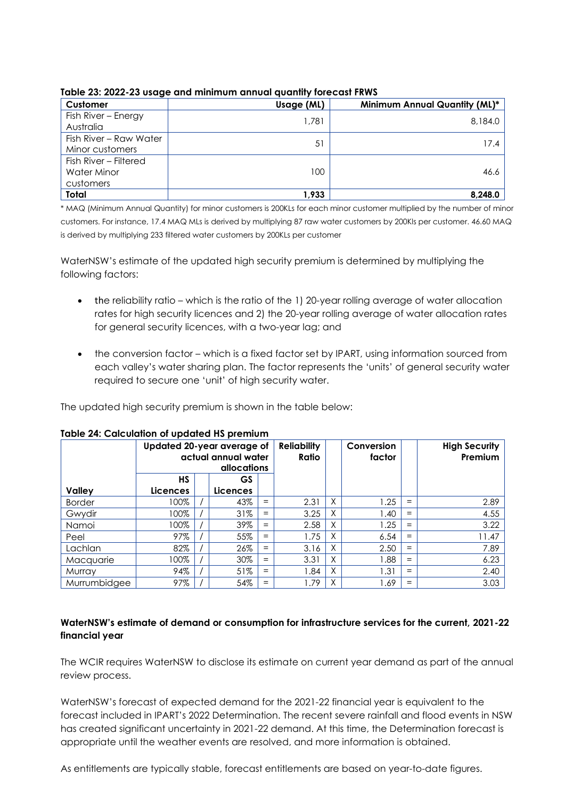| Customer               | Usage (ML) | Minimum Annual Quantity (ML)* |
|------------------------|------------|-------------------------------|
| Fish River – Energy    | 1,781      | 8,184.0                       |
| Australia              |            |                               |
| Fish River - Raw Water | 51         | 17.4                          |
| Minor customers        |            |                               |
| Fish River - Filtered  |            |                               |
| <b>Water Minor</b>     | 100.       | 46.6                          |
| customers              |            |                               |
| Total                  | 1,933      | 8,248.0                       |

**Table 23: 2022-23 usage and minimum annual quantity forecast FRWS**

\* MAQ (Minimum Annual Quantity) for minor customers is 200KLs for each minor customer multiplied by the number of minor customers. For instance, 17.4 MAQ MLs is derived by multiplying 87 raw water customers by 200Kls per customer. 46.60 MAQ is derived by multiplying 233 filtered water customers by 200KLs per customer

WaterNSW's estimate of the updated high security premium is determined by multiplying the following factors:

- the reliability ratio which is the ratio of the 1) 20-year rolling average of water allocation rates for high security licences and 2) the 20-year rolling average of water allocation rates for general security licences, with a two-year lag; and
- the conversion factor which is a fixed factor set by IPART, using information sourced from each valley's water sharing plan. The factor represents the 'units' of general security water required to secure one 'unit' of high security water.

The updated high security premium is shown in the table below:

|               | Updated 20-year average of<br>actual annual water<br>allocations |  |                 | <b>Reliability</b><br>Ratio |      | Conversion<br>factor |      | <b>High Security</b><br>Premium |       |
|---------------|------------------------------------------------------------------|--|-----------------|-----------------------------|------|----------------------|------|---------------------------------|-------|
|               | <b>HS</b>                                                        |  | GS              |                             |      |                      |      |                                 |       |
| <b>Valley</b> | <b>Licences</b>                                                  |  | <b>Licences</b> |                             |      |                      |      |                                 |       |
| <b>Border</b> | 100%                                                             |  | 43%             | $=$                         | 2.31 | X                    | 1.25 | $=$                             | 2.89  |
| Gwydir        | 100%                                                             |  | 31%             | $=$                         | 3.25 | X                    | 1.40 | $=$                             | 4.55  |
| Namoi         | 100%                                                             |  | 39%             | $=$                         | 2.58 | X                    | 1.25 | $=$                             | 3.22  |
| Peel          | 97%                                                              |  | 55%             | $=$                         | 1.75 | Χ                    | 6.54 | $=$                             | 11.47 |
| Lachlan       | 82%                                                              |  | 26%             | $=$                         | 3.16 | X                    | 2.50 | $=$                             | 7.89  |
| Macquarie     | 100%                                                             |  | 30%             | $=$                         | 3.31 | Χ                    | 1.88 | $=$                             | 6.23  |
| Murray        | 94%                                                              |  | 51%             | $=$                         | 1.84 | X                    | 1.31 | $=$                             | 2.40  |
| Murrumbidgee  | 97%                                                              |  | 54%             | $=$                         | .79  | χ                    | 1.69 | $=$                             | 3.03  |

# **Table 24: Calculation of updated HS premium**

## **WaterNSW's estimate of demand or consumption for infrastructure services for the current, 2021-22 financial year**

The WCIR requires WaterNSW to disclose its estimate on current year demand as part of the annual review process.

WaterNSW's forecast of expected demand for the 2021-22 financial year is equivalent to the forecast included in IPART's 2022 Determination. The recent severe rainfall and flood events in NSW has created significant uncertainty in 2021-22 demand. At this time, the Determination forecast is appropriate until the weather events are resolved, and more information is obtained.

As entitlements are typically stable, forecast entitlements are based on year-to-date figures.